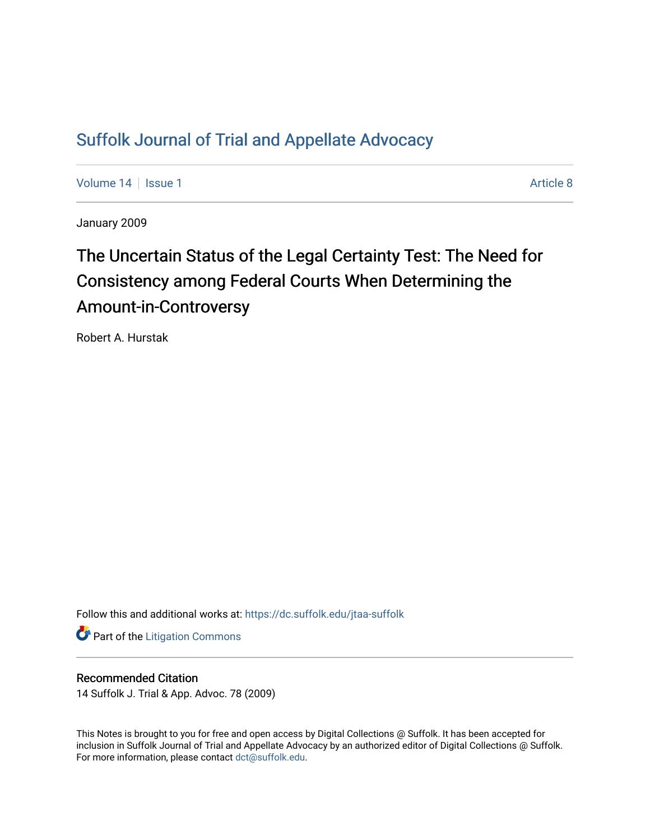# [Suffolk Journal of Trial and Appellate Advocacy](https://dc.suffolk.edu/jtaa-suffolk)

[Volume 14](https://dc.suffolk.edu/jtaa-suffolk/vol14) | [Issue 1](https://dc.suffolk.edu/jtaa-suffolk/vol14/iss1) Article 8

January 2009

# The Uncertain Status of the Legal Certainty Test: The Need for Consistency among Federal Courts When Determining the Amount-in-Controversy

Robert A. Hurstak

Follow this and additional works at: [https://dc.suffolk.edu/jtaa-suffolk](https://dc.suffolk.edu/jtaa-suffolk?utm_source=dc.suffolk.edu%2Fjtaa-suffolk%2Fvol14%2Fiss1%2F8&utm_medium=PDF&utm_campaign=PDFCoverPages) 

**Part of the [Litigation Commons](http://network.bepress.com/hgg/discipline/910?utm_source=dc.suffolk.edu%2Fjtaa-suffolk%2Fvol14%2Fiss1%2F8&utm_medium=PDF&utm_campaign=PDFCoverPages)** 

## Recommended Citation

14 Suffolk J. Trial & App. Advoc. 78 (2009)

This Notes is brought to you for free and open access by Digital Collections @ Suffolk. It has been accepted for inclusion in Suffolk Journal of Trial and Appellate Advocacy by an authorized editor of Digital Collections @ Suffolk. For more information, please contact [dct@suffolk.edu](mailto:dct@suffolk.edu).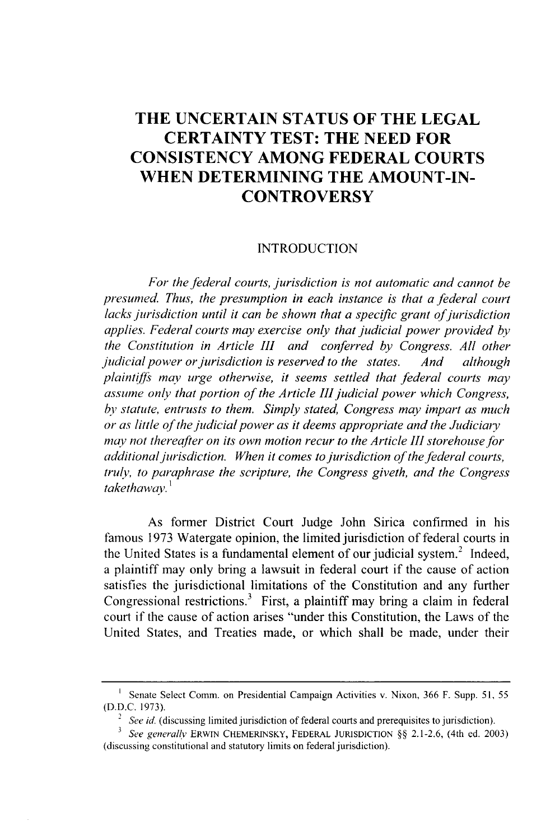# **THE UNCERTAIN STATUS OF THE LEGAL CERTAINTY TEST: THE NEED FOR CONSISTENCY AMONG FEDERAL COURTS WHEN DETERMINING THE AMOUNT-IN-CONTROVERSY**

#### **INTRODUCTION**

*For the federal courts, jurisdiction is not automatic and cannot be presumed. Thus, the presumption in each instance is that* a *federal court lacks jurisdiction until it can be shown that a specific grant of jurisdiction applies. Federal courts may exercise only that judicial power provided by the Constitution in Article III and conferred by Congress. All other judicial power or jurisdiction is reserved to the states. And although plaintiffs may urge otherwise, it seems settled that federal courts may assume only that portion of the Article III judicial power which Congress, by statute, entrusts to them. Simply stated, Congress may impart as much or as little of the judicial power as it deems appropriate and the Judiciary may not thereafter on its own motion recur to the Article III storehouse for additional jurisdiction. When it comes to jurisdiction of the federal courts, truly, to paraphrase the scripture, the Congress giveth, and the Congress takethawav.<sup>1</sup>*

As former District Court Judge John Sirica confirmed in his famous 1973 Watergate opinion, the limited jurisdiction of federal courts in the United States is a fundamental element of our judicial system.<sup>2</sup> Indeed, a plaintiff may only bring a lawsuit in federal court if the cause of action satisfies the jurisdictional limitations of the Constitution and any further Congressional restrictions.<sup>3</sup> First, a plaintiff may bring a claim in federal court if the cause of action arises "under this Constitution, the Laws of the United States, and Treaties made, or which shall be made, under their

<sup>&</sup>lt;sup>1</sup> Senate Select Comm. on Presidential Campaign Activities v. Nixon, 366 F. Supp. 51, 55 (D.D.C. 1973).

<sup>&</sup>lt;sup>2</sup> See id. (discussing limited jurisdiction of federal courts and prerequisites to jurisdiction).

**<sup>3</sup>** See generally ERWIN CHEMERINSKY, FEDERAL **JURISDICTION** §§ 2.1-2.6, (4th ed. 2003) (discussing constitutional and statutory limits on federal jurisdiction).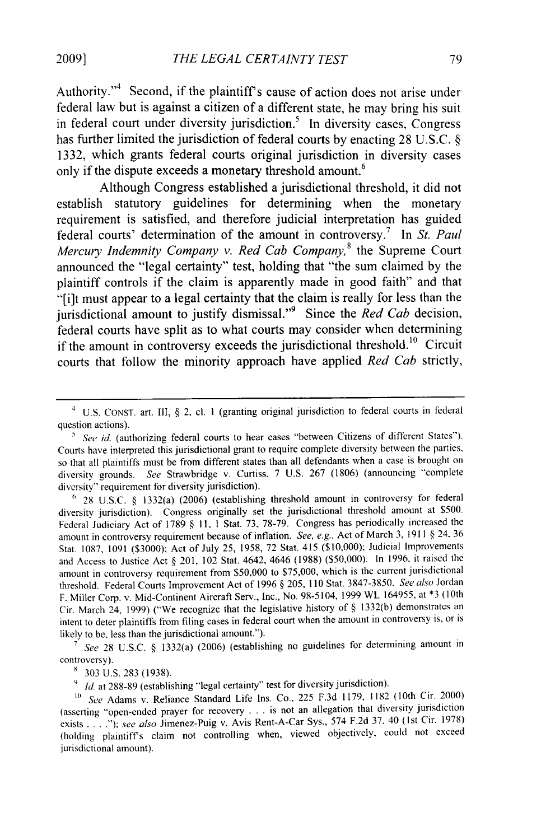Authority."<sup>4</sup> Second, if the plaintiff's cause of action does not arise under federal law but is against a citizen of a different state, he may bring his suit in federal court under diversity jurisdiction.<sup>5</sup> In diversity cases, Congress has further limited the jurisdiction of federal courts by enacting 28 U.S.C. § 1332, which grants federal courts original jurisdiction in diversity cases only if the dispute exceeds a monetary threshold amount.<sup>6</sup>

Although Congress established a jurisdictional threshold, it did not establish statutory guidelines for determining when the monetary requirement is satisfied, and therefore judicial interpretation has guided federal courts' determination of the amount in controversy.7 In *St. Paul Mercury Indemnity Company v. Red Cab Company,8* the Supreme Court announced the "legal certainty" test, holding that "the sum claimed by the plaintiff controls if the claim is apparently made in good faith" and that "[i]t must appear to a legal certainty that the claim is really for less than the jurisdictional amount to justify dismissal." <sup>9</sup>Since the *Red Cab* decision, federal courts have split as to what courts may consider when determining if the amount in controversy exceeds the jurisdictional threshold.<sup>10</sup> Circuit courts that follow the minority approach have applied *Red Cab* strictly,

**<sup>7</sup>***See* 28 U.S.C. § 1332(a) (2006) (establishing no guidelines for determining amount in controversy).

303 U.S. 283 (1938).

<sup>9</sup> *Id.* at 288-89 (establishing "legal certainty" test for diversity jurisdiction).

*I0 See* Adams v. Reliance Standard Life Ins. Co., 225 F.3d 1179, 1182 (10th Cir. 2000) (asserting "open-ended prayer for recovery . **.** . is not an allegation that diversity jurisdiction exists **....** *); see also* Jimenez-Puig v. Avis Rent-A-Car Sys., 574 F.2d 37. 40 (Ist Cir. 1978) (holding plaintiffs claim not controlling when, viewed objectively, could not exceed jurisdictional amount).

<sup>4</sup> U.S. CONST. art. III, § 2, cl. **I** (granting original jurisdiction to federal courts in federal question actions).

<sup>&</sup>lt;sup>5</sup> See id. (authorizing federal courts to hear cases "between Citizens of different States"). Courts have interpreted this jurisdictional grant to require complete diversity between the parties, so that all plaintiffs must be from different states than all defendants when a case is brought on diversity grounds. *See* Strawbridge v. Curtiss, 7 U.S. 267 (1806) (announcing "complete diversity" requirement for diversity jurisdiction).

**<sup>&</sup>quot;** 28 U.S.C. § 1332(a) (2006) (establishing threshold amount in controversy for federal diversity jurisdiction). Congress originally set the jurisdictional threshold amount at \$500. Federal Judiciary Act of 1789 § 11, 1 Stat. 73, 78-79. Congress has periodically increased the amount in controversy requirement because of inflation. *See, e.g..* Act of March 3, 1911 § 24, 36 Stat. 1087, 1091 (S3000); Act of July 25, 1958, 72 Stat. 415 (\$10,000); Judicial Improvements and Access to Justice Act § 201, 102 Stat. 4642, 4646 (1988) (\$50,000). In 1996, it raised the amount in controversy requirement from \$50,000 to S75,000, which is the current jurisdictional threshold. Federal Courts Improvement Act of 1996 § 205, 110 Stat. 3847-3850. *See also* Jordan F. Miller Corp. v. Mid-Continent Aircraft Serv., Inc., No. 98-5104, 1999 WL 164955, at \*3 (10th Cir. March 24, 1999) ("We recognize that the legislative history of § 1332(b) demonstrates an intent to deter plaintiffs from filing cases in federal court when the amount in controversy is, or is likely to be, less than the jurisdictional amount.").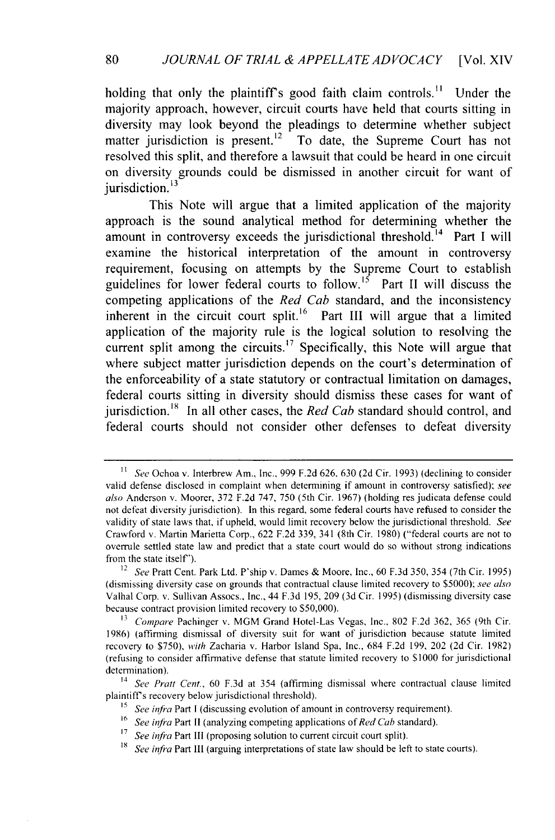holding that only the plaintiff's good faith claim controls.<sup>11</sup> Under the majority approach, however, circuit courts have held that courts sitting in diversity may look beyond the pleadings to determine whether subject matter jurisdiction is present.<sup>12</sup> To date, the Supreme Court has not resolved this split, and therefore a lawsuit that could be heard in one circuit on diversity grounds could be dismissed in another circuit for want of iurisdiction.<sup>13</sup>

This Note will argue that a limited application of the majority approach is the sound analytical method for determining whether the amount in controversy exceeds the jurisdictional threshold.<sup> $14$ </sup> Part I will examine the historical interpretation of the amount in controversy requirement, focusing on attempts **by** the Supreme Court to establish guidelines for lower federal courts to follow.<sup>15</sup> Part II will discuss the competing applications of the *Red Cab* standard, and the inconsistency inherent in the circuit court split.<sup>16</sup> Part III will argue that a limited application of the majority rule is the logical solution to resolving the current split among the circuits.<sup>17</sup> Specifically, this Note will argue that where subject matter jurisdiction depends on the court's determination of the enforceability of a state statutory or contractual limitation on damages, federal courts sitting in diversity should dismiss these cases for want of jurisdiction.<sup>18</sup> In all other cases, the *Red Cab* standard should control, and federal courts should not consider other defenses to defeat diversity

<sup>16</sup> *See infra Part II (analyzing competing applications of <i>Red Cab* standard).

<sup>18</sup> *See infra* Part III (arguing interpretations of state law should be left to state courts).

*I See* Ochoa v. Interbrew Am., Inc., 999 F.2d 626, 630 (2d Cir. 1993) (declining to consider valid defense disclosed in complaint when determining if amount in controversy satisfied); *see also* Anderson v. Moorer, 372 F.2d 747, 750 (5th Cir. 1967) (holding res judicata defense could not defeat diversity jurisdiction). In this regard, some federal courts have refused to consider the validity of state laws that, if upheld, would limit recovery below the jurisdictional threshold. *See* Crawford v. Martin Marietta Corp., 622 F.2d 339, 341 (8th Cir. 1980) ("federal courts are not to overrule settled state law and predict that a state court would do so without strong indications from the state itself").

<sup>12</sup> *See* Pratt Cent. Park Ltd. P'ship v. Dames & Moore, Inc., 60 F.3d 350, 354 (7th Cir. 1995) (dismissing diversity case on grounds that contractual clause limited recovery to *\$5000); see also* Valhal Corp. v. Sullivan Assocs., Inc., 44 F.3d 195, 209 (3d Cir. 1995) (dismissing diversity case because contract provision limited recovery to \$50,000).

**<sup>13</sup>***Compare* Pachinger v. MGM Grand Hotel-Las Vegas, Inc., 802 F.2d 362, 365 (9th Cir. 1986) (affirming dismissal of diversity suit for want of jurisdiction because statute limited recovery to \$750), *with* Zacharia v. Harbor Island Spa, Inc., 684 F.2d 199, 202 (2d Cir. 1982) (refusing to consider affirmative defense that statute limited recovery to \$1000 for jurisdictional determination).

<sup>&</sup>lt;sup>14</sup> See Pratt Cent., 60 F.3d at 354 (affirming dismissal where contractual clause limited plaintiff's recovery below jurisdictional threshold).

<sup>&</sup>lt;sup>15</sup> *See infra Part I (discussing evolution of amount in controversy requirement).* 

**<sup>17</sup>** *See infra* Part III (proposing solution to current circuit court split).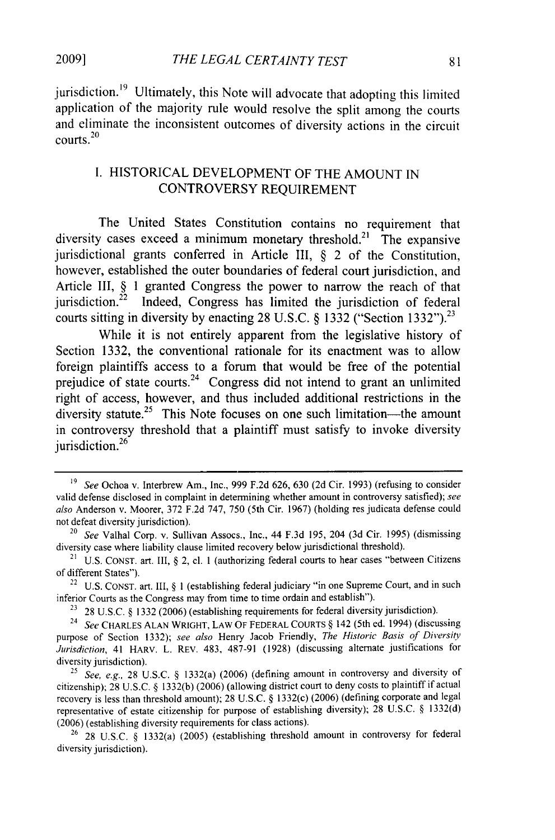**2009]**

jurisdiction.<sup>19</sup> Ultimately, this Note will advocate that adopting this limited application of the majority rule would resolve the split among the courts and eliminate the inconsistent outcomes of diversity actions in the circuit courts.<sup>20</sup>

# **I.** HISTORICAL **DEVELOPMENT** OF THE **AMOUNT IN** CONTROVERSY **REQUIREMENT**

The United States Constitution contains no requirement that diversity cases exceed a minimum monetary threshold.<sup>21</sup> The expansive jurisdictional grants conferred in Article III, **§** 2 of the Constitution, however, established the outer boundaries of federal court jurisdiction, and Article **III, § 1** granted Congress the power to narrow the reach of that jurisdiction.<sup>22</sup> Indeed, Congress has limited the jurisdiction of federal courts sitting in diversity **by** enacting **28 U.S.C. § 1332** ("Section **1332").23**

While it is not entirely apparent from the legislative history of Section **1332,** the conventional rationale for its enactment was to allow foreign plaintiffs access to a forum that would be free of the potential prejudice of state courts.<sup>24</sup> Congress did not intend to grant an unlimited right of access, however, and thus included additional restrictions in the diversity statute.<sup>25</sup> This Note focuses on one such limitation—the amount in controversy threshold that a plaintiff must satisfy to invoke diversity iurisdiction. $26$ 

*<sup>19</sup> See* Ochoa v. Interbrew Am., Inc., **999 F.2d 626, 630 (2d** Cir. **1993)** (refusing to consider valid defense disclosed in complaint in determining whether amount in controversy satisfied); *see also* Anderson v. Moorer, **372 F.2d 747, 750** (5th Cir. **1967)** (holding res judicata defense could not defeat diversity jurisdiction).

<sup>20</sup>*See* Valhal Corp. v. Sullivan Assocs., Inc., 44 **F.3d 195,** 204 **(3d** Cir. **1995)** (dismissing diversity case where liability clause limited recovery below jurisdictional threshold).

<sup>&</sup>lt;sup>21</sup> U.S. CONST. art. III,  $\delta$  2, cl. 1 (authorizing federal courts to hear cases "between Citizens" of different States").

<sup>22</sup> U.S. CONST. art. III, § **I** (establishing federal judiciary "in one Supreme Court, and in such inferior Courts as the Congress may from time to time ordain and establish").

<sup>&</sup>lt;sup>23</sup> 28 U.S.C. § 1332 (2006) (establishing requirements for federal diversity jurisdiction).

<sup>24</sup>*See* CHARLES **ALAN** WRIGHT, LAW OF **FEDERAL COURTS** § 142 (5th ed. 1994) (discussing purpose of Section 1332); *see also* Henry Jacob Friendly, *The Historic Basis of Diversity Jurisdiction,* 41 HARv. L. REV. 483, 487-91 (1928) (discussing alternate justifications for diversity jurisdiction).

*<sup>25</sup> See, e.g.,* 28 U.S.C. § 1332(a) (2006) (defining amount in controversy and diversity of citizenship); 28 U.S.C. § 1332(b) (2006) (allowing district court to deny costs to plaintiff if actual recovery is less than threshold amount); 28 U.S.C. § 1332(c) (2006) (defining corporate and legal representative of estate citizenship for purpose of establishing diversity); 28 U.S.C. § 1332(d) (2006) (establishing diversity requirements for class actions).

**<sup>26</sup>**28 U.S.C. § 1332(a) (2005) (establishing threshold amount in controversy for federal diversity jurisdiction).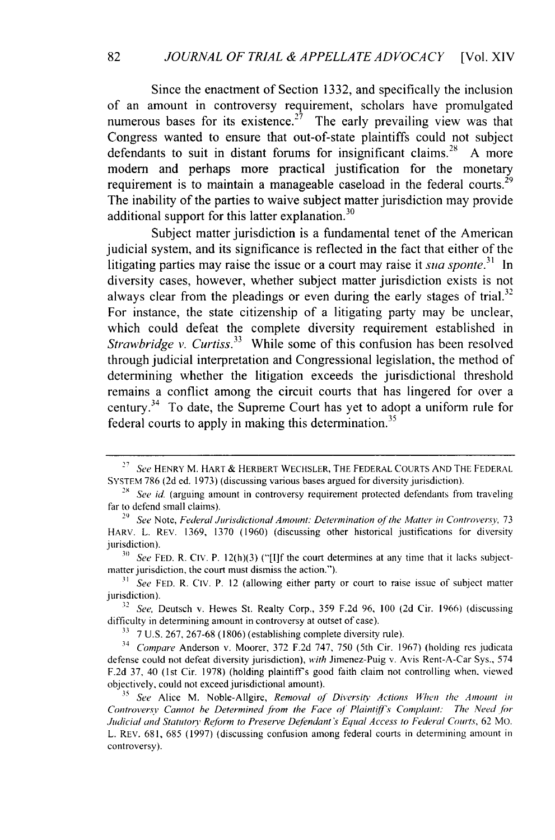Since the enactment of Section 1332, and specifically the inclusion of an amount in controversy requirement, scholars have promulgated numerous bases for its existence.<sup>27</sup> The early prevailing view was that Congress wanted to ensure that out-of-state plaintiffs could not subject defendants to suit in distant forums for insignificant claims.<sup>28</sup> A more modem and perhaps more practical justification for the monetary requirement is to maintain a manageable caseload in the federal courts.<sup>29</sup> The inability of the parties to waive subject matter jurisdiction may provide additional support for this latter explanation.<sup>30</sup>

Subject matter jurisdiction is a fundamental tenet of the American judicial system, and its significance is reflected in the fact that either of the litigating parties may raise the issue or a court may raise it *sug sponte*.<sup>31</sup> In diversity cases, however, whether subject matter jurisdiction exists is not always clear from the pleadings or even during the early stages of trial.<sup>32</sup> For instance, the state citizenship of a litigating party may be unclear, which could defeat the complete diversity requirement established in *Strawbridge v. Curtiss.*<sup>33</sup> While some of this confusion has been resolved through judicial interpretation and Congressional legislation, the method of determining whether the litigation exceeds the jurisdictional threshold remains a conflict among the circuit courts that has lingered for over a century.34 To date, the Supreme Court has yet to adopt a uniforn rule for federal courts to apply in making this determination.<sup>35</sup>

<sup>27</sup>*See* HENRY M. HART & HERBERT WECHSLER, THE FEDERAL COURTS AND THE FEDERAL SYSTEM 786 (2d ed. 1973) (discussing various bases argued for diversity jurisdiction).

<sup>&</sup>lt;sup>28</sup> See id. (arguing amount in controversy requirement protected defendants from traveling far to defend small claims).

<sup>&</sup>lt;sup>29</sup> See Note, *Federal Jurisdictional Amount: Determination of the Matter in Controversy*, 73 HARV. L. REV. 1369, 1370 (1960) (discussing other historical justifications for diversity jurisdiction).

**<sup>30</sup>** *See* FED. R. Civ. P. 12(h)(3) ("[I]f the court determines at any time that it lacks subjectmatter jurisdiction, the court must dismiss the action.").

**<sup>31</sup>** *See* FED. R. Civ. P. 12 (allowing either party or court to raise issue of subject matter jurisdiction).

*<sup>3,2</sup> See,* Deutsch v. Hewes St. Realty Corp., 359 F.2d 96, 100 (2d Cir. 1966) (discussing difficulty in determining amount in controversy at outset of case).

**<sup>33</sup>** 7 U.S. 267, 267-68 (1806) (establishing complete diversity rule).

<sup>34</sup> *Compare* Anderson v. Moorer, 372 F.2d 747, 750 (5th Cir. 1967) (holding res judicata defense could not defeat diversity jurisdiction), *with* Jimenez-Puig v. Avis Rent-A-Car Sys., 574 F.2d 37, 40 (Ist Cir. 1978) (holding plaintiffs good faith claim not controlling when, viewed objectively, could not exceed jurisdictional amount).

**<sup>35</sup>** *See* Alice M. Noble-Allgire, *Removal of Diversitv Actions When the Amount in* Controversy Cannot be Determined from the Face of Plaintiff's Complaint: The Need for *Judicial and Statutory Reform to Preserve Defendant's Equal Access to Federal* Courts, 62 Mo. L. REV. 681, 685 (1997) (discussing confusion among federal courts in determining amount in controversy).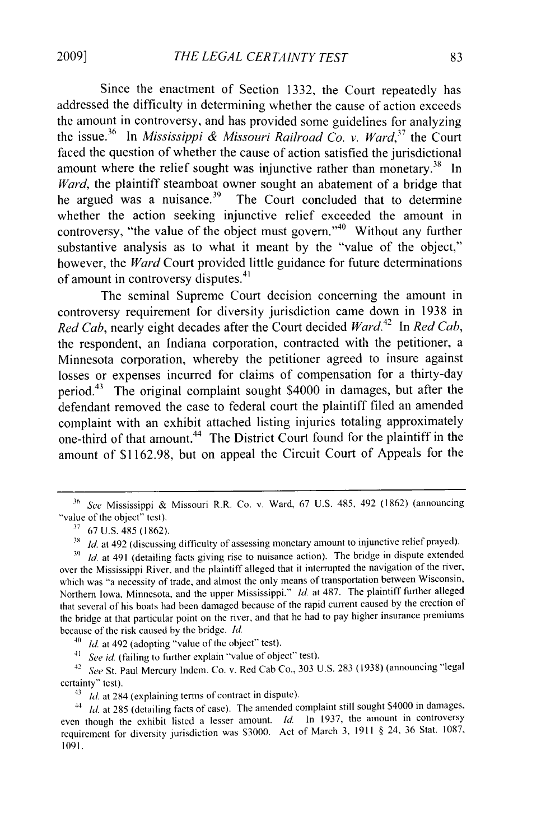Since the enactment of Section 1332, the Court repeatedly has addressed the difficulty in determining whether the cause of action exceeds the amount in controversy, and has provided some guidelines for analyzing the issue.<sup>36</sup> In *Mississippi & Missouri Railroad Co. v. Ward*<sup>37</sup> the Court faced the question of whether the cause of action satisfied the jurisdictional amount where the relief sought was injunctive rather than monetary.<sup>38</sup> In *Ward*, the plaintiff steamboat owner sought an abatement of a bridge that he argued was a nuisance.<sup>39</sup> The Court concluded that to determine whether the action seeking injunctive relief exceeded the amount in controversy, "the value of the object must govern." Without any further substantive analysis as to what it meant by the "value of the object," however, the *Ward* Court provided little guidance for future determinations of amount in controversy disputes.<sup>41</sup>

The seminal Supreme Court decision concerning the amount in controversy requirement for diversity jurisdiction came down in 1938 in *Red Cab,* nearly eight decades after the Court decided *Ward.4 2* In *Red Cab,* the respondent, an Indiana corporation, contracted with the petitioner, a Minnesota corporation, whereby the petitioner agreed to insure against losses or expenses incurred for claims of compensation for a thirty-day period.<sup>43</sup> The original complaint sought  $$4000$  in damages, but after the defendant removed the case to federal court the plaintiff filed an amended complaint with an exhibit attached listing injuries totaling approximately one-third of that amount.<sup>44</sup> The District Court found for the plaintiff in the amount of \$1162.98, but on appeal the Circuit Court of Appeals for the

 $^{40}$  *Id.* at 492 (adopting "value of the object" test).

41 *See id* (failing to further explain "value of object" test).

<sup>42</sup>*See* St. Paul Mercury Indem. Co. v. Red Cab Co., 303 U.S. 283 (1938) (announcing "legal certainty" test).

43 *Id.* at 284 (explaining terms of contract in dispute).

**<sup>36</sup>** See Mississippi & Missouri R.R. Co. v. Ward, 67 U.S. 485, 492 (1862) (announcing "value of the object" test).

**<sup>37</sup>**67 U.S. 485 (1862).

**<sup>3</sup>X** *Id.* at 492 (discussing difficulty of assessing monetary amount to injunctive relief prayed).

**<sup>3)</sup>** *Id.* at 491 (detailing facts giving rise to nuisance action). The bridge in dispute extended over the Mississippi River, and the plaintiff alleged that it interrupted the navigation of the river, which was "a necessity of trade, and almost the only means of transportation between Wisconsin, Northern Iowa, Minnesota, and the upper Mississippi." *Id.* at 487. The plaintiff further alleged that several of his boats had been damaged because of the rapid current caused by the erection of the bridge at that particular point on the river, and that he had to pay higher insurance premiums because of the risk caused by the bridge. Id.

<sup>&</sup>lt;sup>44</sup> *Id.* at 285 (detailing facts of case). The amended complaint still sought \$4000 in damages, even though the exhibit listed a lesser amount. **Id.** in 1937, the amount in controversy requirement for diversity jurisdiction was \$3000. Act of March 3, 1911 § 24, 36 Stat. 1087, 1091.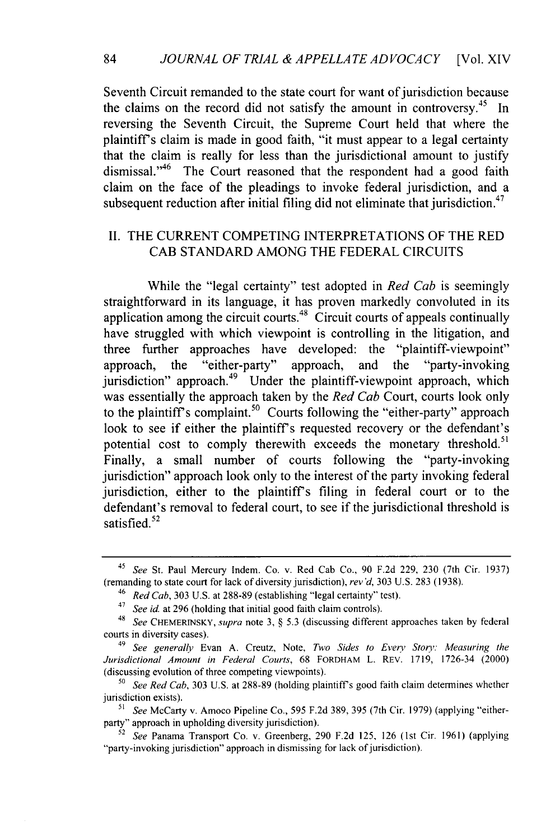Seventh Circuit remanded to the state court for want of jurisdiction because the claims on the record did not satisfy the amount in controversy.<sup>45</sup> In reversing the Seventh Circuit, the Supreme Court held that where the plaintiffs claim is made in good faith, "it must appear to a legal certainty that the claim is really for less than the jurisdictional amount to justify dismissal."<sup>46</sup> The Court reasoned that the respondent had a good faith claim on the face of the pleadings to invoke federal jurisdiction, and a subsequent reduction after initial filing did not eliminate that jurisdiction.<sup>47</sup>

# II. THE CURRENT COMPETING INTERPRETATIONS OF THE RED CAB STANDARD AMONG THE FEDERAL CIRCUITS

While the "legal certainty" test adopted in *Red Cab* is seemingly straightforward in its language, it has proven markedly convoluted in its application among the circuit courts.<sup>48</sup> Circuit courts of appeals continually have struggled with which viewpoint is controlling in the litigation, and three further approaches have developed: the "plaintiff-viewpoint" approach, the "either-party" approach, and the "party-invoking  $j$ urisdiction" approach.<sup>49</sup> Under the plaintiff-viewpoint approach, which was essentially the approach taken by the *Red Cab* Court, courts look only to the plaintiff's complaint.<sup>50</sup> Courts following the "either-party" approach look to see if either the plaintiff's requested recovery or the defendant's potential cost to comply therewith exceeds the monetary threshold.<sup>5</sup> Finally, a small number of courts following the "party-invoking jurisdiction" approach look only to the interest of the party invoking federal jurisdiction, either to the plaintiff's filing in federal court or to the defendant's removal to federal court, to see if the jurisdictional threshold is satisfied. $52$ 

<sup>45</sup> See St. Paul Mercury Indem. Co. v. Red Cab Co., 90 F.2d 229, 230 (7th Cir. 1937) (remanding to state court for lack of diversity jurisdiction), rev'd, 303 U.S. 283 (1938).

<sup>46</sup>*Red Cab,* 303 U.S. at 288-89 (establishing "legal certainty" test).

<sup>&</sup>lt;sup>47</sup> See id. at 296 (holding that initial good faith claim controls).

<sup>48</sup> *See* CHEMERINSKY, *supra* note 3, § 5.3 (discussing different approaches taken by federal courts in diversity cases).

<sup>&</sup>lt;sup>49</sup> See generally Evan A. Creutz, Note, *Two Sides to Every Story: Measuring the* Jurisdictional Amount in Federal *Courts,* 68 FORDHAM L. REV. 1719, 1726-34 (2000) (discussing evolution of three competing viewpoints).

<sup>&</sup>lt;sup>50</sup> See Red Cab, 303 U.S. at 288-89 (holding plaintiff's good faith claim determines whether jurisdiction exists).

**<sup>51</sup>** *See* McCarty v. Amoco Pipeline Co., 595 F.2d 389, 395 (7th Cir. 1979) (applying "eitherparty" approach in upholding diversity jurisdiction).

<sup>52</sup>*See* Panama Transport Co. v. Greenberg, 290 F.2d 125, 126 (1st Cir. 1961) (applying "party-invoking jurisdiction" approach in dismissing for lack of jurisdiction).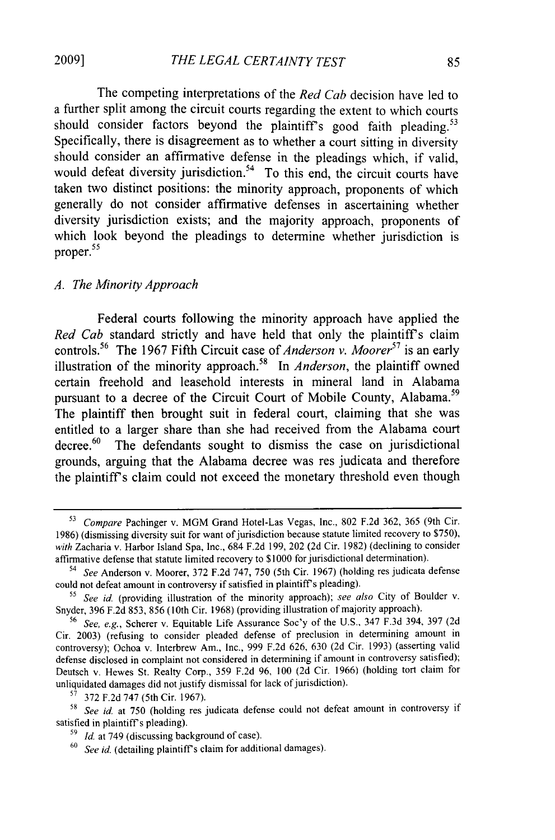The competing interpretations of the *Red Cab* decision have led to a further split among the circuit courts regarding the extent to which courts should consider factors beyond the plaintiff's good faith pleading.<sup>53</sup> Specifically, there is disagreement as to whether a court sitting in diversity should consider an affirmative defense in the pleadings which, if valid, would defeat diversity jurisdiction.<sup>54</sup> To this end, the circuit courts have taken two distinct positions: the minority approach, proponents of which generally do not consider affirmative defenses in ascertaining whether diversity jurisdiction exists; and the majority approach, proponents of which look beyond the pleadings to determine whether jurisdiction is proper.<sup>55</sup>

#### *A. The Minority Approach*

Federal courts following the minority approach have applied the *Red Cab* standard strictly and have held that only the plaintiff's claim controls.<sup>56</sup> The 1967 Fifth Circuit case of *Anderson v. Moorer*<sup>57</sup> is an early illustration of the minority approach.<sup>58</sup> In *Anderson*, the plaintiff owned certain freehold and leasehold interests in mineral land in Alabama pursuant to a decree of the Circuit Court of Mobile County, Alabama.<sup>59</sup> The plaintiff then brought suit in federal court, claiming that she was entitled to a larger share than she had received from the Alabama court decree. $60$  The defendants sought to dismiss the case on jurisdictional grounds, arguing that the Alabama decree was res judicata and therefore the plaintiff's claim could not exceed the monetary threshold even though

**<sup>53</sup>** *Compare* Pachinger v. MGM Grand Hotel-Las Vegas, Inc., 802 F.2d 362, 365 (9th Cir. 1986) (dismissing diversity suit for want of jurisdiction because statute limited recovery to \$750), *with* Zacharia v. Harbor Island Spa, Inc., 684 F.2d 199, 202 (2d Cir. 1982) (declining to consider affirmative defense that statute limited recovery to \$1000 for jurisdictional determination).

<sup>54</sup>*See* Anderson v. Moorer, 372 F.2d 747, 750 (5th Cir. 1967) (holding res judicata defense could not defeat amount in controversy if satisfied in plaintiff's pleading).

**<sup>55</sup>** *See id.* (providing illustration of the minority approach); *see also* City of Boulder v. Snyder, 396 F.2d 853, 856 (10th Cir. 1968) (providing illustration of majority approach).

*<sup>56</sup>See, e.g.,* Scherer v. Equitable Life Assurance Soc'y of the U.S., 347 F.3d 394, 397 (2d Cir. 2003) (refusing to consider pleaded defense of preclusion in determining amount in controversy); Ochoa v. Interbrew Am., Inc., 999 F.2d 626, 630 (2d Cir. 1993) (asserting valid defense disclosed in complaint not considered in determining if amount in controversy satisfied); Deutsch v. Hewes St. Realty Corp., 359 F.2d 96, 100 (2d Cir. 1966) (holding tort claim for unliquidated damages did not justify dismissal for lack of jurisdiction).

**<sup>57</sup>** 372 F.2d 747 (5th Cir. 1967).

*<sup>58</sup> See id* at 750 (holding res judicata defense could not defeat amount in controversy if satisfied in plaintiff's pleading).

*<sup>59</sup>Id* at 749 (discussing background of case).

**<sup>60</sup>***See id.* (detailing plaintiffs claim for additional damages).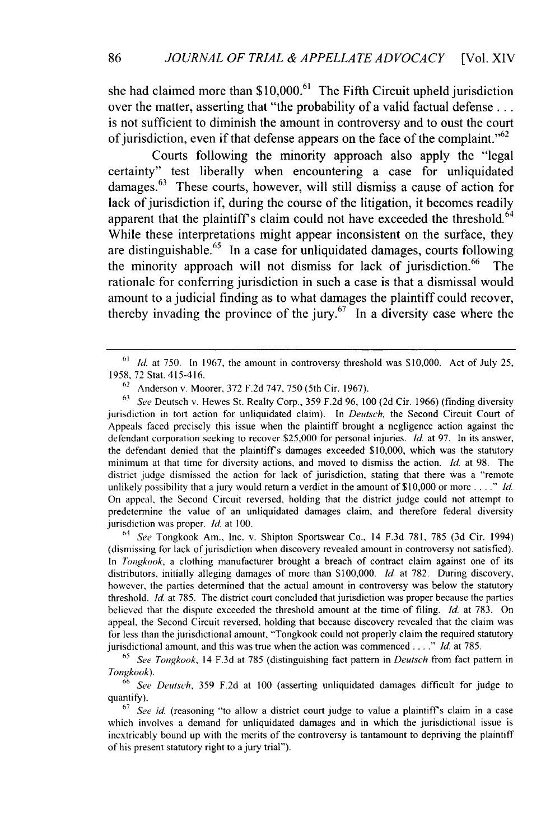she had claimed more than  $$10,000$ .<sup>61</sup> The Fifth Circuit upheld jurisdiction over the matter, asserting that "the probability of a valid factual defense... is not sufficient to diminish the amount in controversy and to oust the court of jurisdiction, even if that defense appears on the face of the complaint.<sup> $52$ </sup>

Courts following the minority approach also apply the "legal certainty" test liberally when encountering a case for unliquidated damages. $63$  These courts, however, will still dismiss a cause of action for lack of jurisdiction if, during the course of the litigation, it becomes readily apparent that the plaintiff's claim could not have exceeded the threshold. $64$ While these interpretations might appear inconsistent on the surface, they are distinguishable.<sup>65</sup> In a case for unliquidated damages, courts following the minority approach will not dismiss for lack of jurisdiction. $66$  The rationale for conferring jurisdiction in such a case is that a dismissal would amount to a judicial finding as to what damages the plaintiff could recover, thereby invading the province of the jury.<sup>67</sup> In a diversity case where the

<sup>63</sup> See Deutsch v. Hewes St. Realty Corp., 359 F.2d 96, 100 (2d Cir. 1966) (finding diversity jurisdiction in tort action for unliquidated claim). In *Deutsch,* the Second Circuit Court of Appeals faced precisely this issue when the plaintiff brought a negligence action against the defendant corporation seeking to recover \$25,000 for personal injuries. *Id.* at 97. In its answer, the defendant denied that the plaintiffs damages exceeded \$10,000, which was the statutory minimum at that time for diversity actions, and moved to dismiss the action. *Id.* at 98. The district judge dismissed the action for lack of jurisdiction, stating that there was a "remote unlikely possibility that a jury would return a verdict in the amount of \$10,000 or more *...*..*nd.* On appeal, the Second Circuit reversed, holding that the district judge could not attempt to predetermine the value of an unliquidated damages claim, and therefore federal diversity jurisdiction was proper. *Id.* at 100.

64 *See* Tongkook Am., Inc. v. Shipton Sportswear Co., 14 F.3d 781, 785 (3d Cir. 1994) (dismissing for lack of jurisdiction when discovery revealed amount in controversy not satisfied). In *Tongkook,* a clothing manufacturer brought a breach of contract claim against one of its distributors, initially alleging damages of more than **\$** 100,000. *Id.* at 782. During discovery, however, the parties determined that the actual amount in controversy was below the statutory threshold. *Id.* at 785. The district court concluded that jurisdiction was proper because the parties believed that the dispute exceeded the threshold amount at the time of filing. *Id.* at 783. On appeal, the Second Circuit reversed, holding that because discovery revealed that the claim was for less than the jurisdictional amount, "'Tongkook could not properly claim the required statutory jurisdictional amount, and this was true when the action was commenced *.... " Id* at 785.

*<sup>65</sup>See Tongkook,* 14 F.3d at 785 (distinguishing fact pattern in *Deutsch* from fact pattern in *Tongkook).*

<sup>66</sup>*See Deutsch,* 359 F.2d at 100 (asserting unliquidated damages difficult for judge to quantify).

<sup>67</sup> See id. (reasoning "to allow a district court judge to value a plaintiff's claim in a case which involves a demand for unliquidated damages and in which the jurisdictional issue is inextricably bound up with the merits of the controversy is tantamount to depriving the plaintiff of his present statutory right to a jury trial").

 $^{61}$  *Id.* at 750. In 1967, the amount in controversy threshold was \$10,000. Act of July 25, 1958, 72 Stat. 415-416.

<sup>62</sup> Anderson v. Moorer, 372 F.2d 747, 750 (5th Cir. 1967).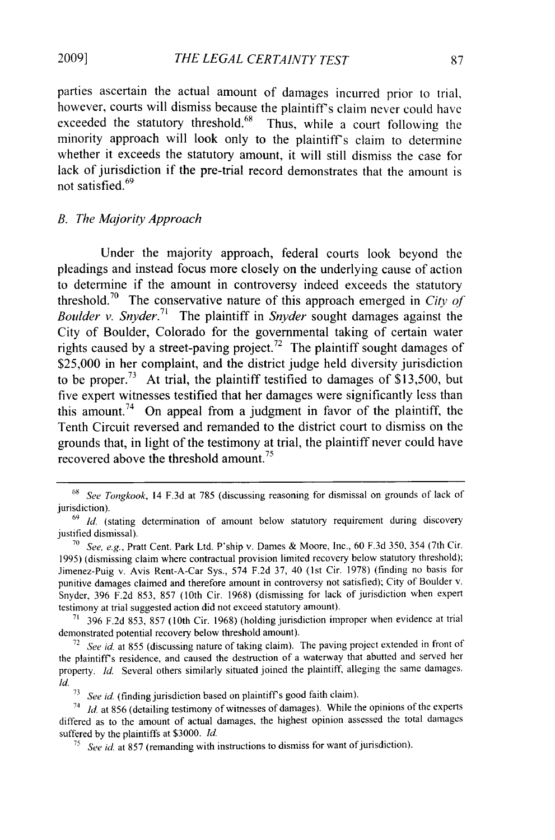parties ascertain the actual amount of damages incurred prior to trial, however, courts will dismiss because the plaintiff's claim never could have exceeded the statutory threshold.<sup>68</sup> Thus, while a court following the minority approach will look only to the plaintiffs claim to determine whether it exceeds the statutory amount, it will still dismiss the case for lack of jurisdiction if the pre-trial record demonstrates that the amount is  $\frac{1}{2}$  not satisfied.<sup>69</sup>

#### *B. The Majority Approach*

Under the majority approach, federal courts look beyond the pleadings and instead focus more closely on the underlying cause of action to determine if the amount in controversy indeed exceeds the statutory threshold.7° The conservative nature of this approach emerged in *City of Boulder v. Snyder.*<sup>71</sup> The plaintiff in *Snyder* sought damages against the City of Boulder, Colorado for the governmental taking of certain water rights caused by a street-paving project.<sup>72</sup> The plaintiff sought damages of \$25,000 in her complaint, and the district judge held diversity jurisdiction to be proper.<sup>73</sup> At trial, the plaintiff testified to damages of \$13,500, but five expert witnesses testified that her damages were significantly less than this amount.<sup>74</sup> On appeal from a judgment in favor of the plaintiff, the Tenth Circuit reversed and remanded to the district court to dismiss on the grounds that, in light of the testimony at trial, the plaintiff never could have recovered above the threshold amount.<sup>75</sup>

*<sup>,8</sup> See Tongkook,* 14 **F.3d** at 785 (discussing reasoning for dismissal on grounds of lack of jurisdiction).

<sup>&</sup>lt;sup>69</sup> *Id.* (stating determination of amount below statutory requirement during discovery justified dismissal).

**<sup>70</sup>***See, e.g.,* Pratt Cent. Park Ltd. P'ship v. Dames & Moore, Inc., 60 F.3d 350, 354 (7th Cir. 1995) (dismissing claim where contractual provision limited recovery below statutory threshold); Jimenez-Puig v. Avis Rent-A-Car Sys., 574 F.2d 37, 40 (lst Cir. 1978) (finding no basis for punitive damages claimed and therefore amount in controversy not satisfied); City of Boulder v. Snyder, 396 F.2d 853, 857 (10th Cir. 1968) (dismissing for lack of jurisdiction when expert testimony at trial suggested action did not exceed statutory amount).

<sup>71 396</sup> F.2d 853, 857 (10th Cir. 1968) (holding jurisdiction improper when evidence at trial demonstrated potential recovery below threshold amount).

<sup>72</sup> *See id.* at 855 (discussing nature of taking claim). The paving project extended in front of the plaintiffs residence, and caused the destruction of a waterway that abutted and served her property. *Id.* Several others similarly situated joined the plaintiff, alleging the same damages. *Id.*

<sup>&</sup>lt;sup>73</sup> See id. (finding jurisdiction based on plaintiff's good faith claim).

*<sup>74</sup>Id.* at 856 (detailing testimony of witnesses of damages). While the opinions of the experts differed as to the amount of actual damages, the highest opinion assessed the total damages suffered by the plaintiffs at \$3000. *Id.*

<sup>&</sup>lt;sup>75</sup> See id. at 857 (remanding with instructions to dismiss for want of jurisdiction).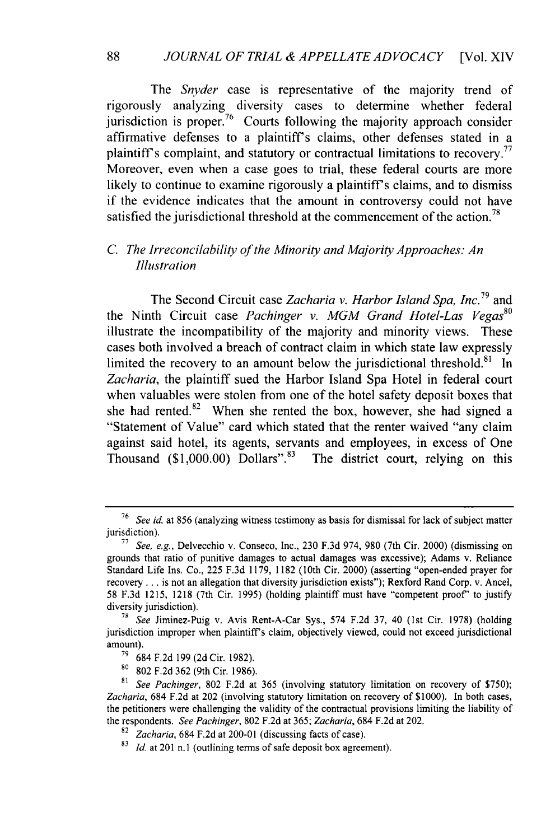The *Snyder* case is representative of the majority trend of rigorously analyzing diversity cases to determine whether federal jurisdiction is proper.<sup> $76$ </sup> Courts following the majority approach consider affirmative defenses to a plaintiffs claims, other defenses stated in a plaintiff's complaint, and statutory or contractual limitations to recovery.<sup>77</sup> Moreover, even when a case goes to trial, these federal courts are more likely to continue to examine rigorously a plaintiff's claims, and to dismiss if the evidence indicates that the amount in controversy could not have satisfied the jurisdictional threshold at the commencement of the action.<sup>78</sup>

## *C. The Irreconcilability of the Minority and Majority Approaches: An Illustration*

The Second Circuit case *Zacharia v. Harbor Island Spa, Inc.<sup>79</sup>*and the Ninth Circuit case *Pachinger v. MGM Grand Hotel-Las Vegas °* illustrate the incompatibility of the majority and minority views. These cases both involved a breach of contract claim in which state law expressly limited the recovery to an amount below the jurisdictional threshold.<sup>81</sup> In *Zacharia,* the plaintiff sued the Harbor Island Spa Hotel in federal court when valuables were stolen from one of the hotel safety deposit boxes that she had rented. $82$  When she rented the box, however, she had signed a "Statement of Value" card which stated that the renter waived "any claim against said hotel, its agents, servants and employees, in excess of One Thousand **(\$1,000.00)** Dollars".83 The district court, relying on this

<sup>76</sup>*See id.* at 856 (analyzing witness testimony as basis for dismissal for lack of subject matter jurisdiction).

**<sup>77</sup>***See, e.g.,* Delvecchio v. Conseco, Inc., 230 F.3d 974, 980 (7th Cir. 2000) (dismissing on grounds that ratio of punitive damages to actual damages was excessive); Adams v. Reliance Standard Life Ins. Co., 225 F.3d 1179, 1182 (10th Cir. 2000) (asserting "open-ended prayer for recovery **...** is not an allegation that diversity jurisdiction exists"); Rexford Rand Corp. v. Ancel, 58 F.3d 1215, 1218 (7th Cir. 1995) (holding plaintiff must have "competent proof' to justify diversity jurisdiction).

*<sup>78</sup>See* Jiminez-Puig v. Avis Rent-A-Car Sys., 574 F.2d 37, 40 (1st Cir. 1978) (holding jurisdiction improper when plaintiffs claim, objectively viewed, could not exceed jurisdictional amount).

**<sup>79</sup>**684 F.2d 199 (2d Cir. 1982).

<sup>80</sup> 802 F.2d 362 (9th Cir. 1986).

*<sup>81</sup> See Pachinger,* 802 F.2d at 365 (involving statutory limitation on recovery of \$750); *Zacharia,* 684 F.2d at 202 (involving statutory limitation on recovery of \$1000). In both cases, the petitioners were challenging the validity of the contractual provisions limiting the liability of the respondents. *See Pachinger,* 802 F.2d at 365; *Zacharia,* 684 F.2d at 202.

<sup>82</sup>*Zacharia,* 684 F.2d at 200-01 (discussing facts of case).

<sup>&</sup>lt;sup>83</sup> *Id.* at 201 n.1 (outlining terms of safe deposit box agreement).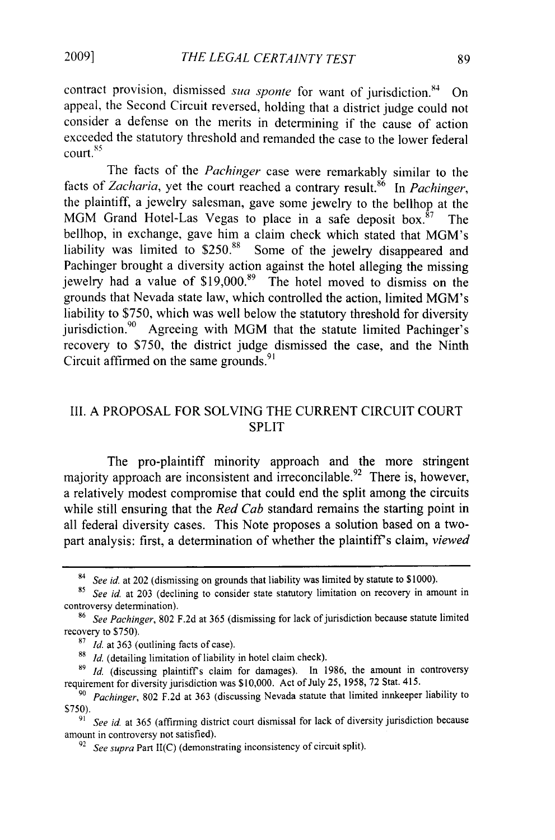contract provision, dismissed *sua sponte* for want of jurisdiction.<sup>84</sup> On appeal, the Second Circuit reversed, holding that a district judge could not consider a defense on the merits in determining if the cause of action exceeded the statutory threshold and remanded the case to the lower federal court.<sup>8:</sup>

The facts of the *Pachinger* case were remarkably similar to the facts of Zacharia, yet the court reached a contrary result.<sup>86</sup> In *Pachinger*, the plaintiff, a jewelry salesman, gave some jewelry to the bellhop at the MGM Grand Hotel-Las Vegas to place in a safe deposit box. $87$  The bellhop, in exchange, gave him a claim check which stated that MGM's liability was limited to \$250.88 Some of the jewelry disappeared and Pachinger brought a diversity action against the hotel alleging the missing jewelry had a value of \$19,000.<sup>89</sup> The hotel moved to dismiss on the grounds that Nevada state law, which controlled the action, limited MGM's liability to \$750, which was well below the statutory threshold for diversity jurisdiction.<sup>90</sup> Agreeing with MGM that the statute limited Pachinger's recovery to \$750, the district judge dismissed the case, and the Ninth Circuit affirmed on the same grounds. $9$ 

## **I1.** A PROPOSAL FOR SOLVING THE CURRENT CIRCUIT COURT SPLIT

The pro-plaintiff minority approach and the more stringent majority approach are inconsistent and irreconcilable.<sup>92</sup> There is, however, a relatively modest compromise that could end the split among the circuits while still ensuring that the *Red Cab* standard remains the starting point in all federal diversity cases. This Note proposes a solution based on a twopart analysis: first, a determination of whether the plaintiff's claim, *viewed* 

**<sup>88</sup>***Id.* (detailing limitation of liability in hotel claim check).

<sup>84</sup>*See id.* at 202 (dismissing on grounds that liability was limited by statute to \$1000).

**<sup>85</sup>***See id.* at 203 (declining to consider state statutory limitation on recovery in amount in controversy determination).

<sup>&</sup>lt;sup>86</sup> See Pachinger, 802 F.2d at 365 (dismissing for lack of jurisdiction because statute limited recovery to \$750).

*<sup>87</sup> Id.* at 363 (outlining facts of case).

*<sup>89</sup>Id.* (discussing plaintiffs claim for damages). In 1986, the amount in controversy requirement for diversity jurisdiction was \$10,000. Act of July 25, 1958, 72 Stat. 415.

*<sup>90</sup>Pachinger,* 802 F.2d at 363 (discussing Nevada statute that limited innkeeper liability to S750).

*<sup>91</sup> See id.* at 365 (affirming district court dismissal for lack of diversity jurisdiction because amount in controversy not satisfied).

<sup>92</sup>*See supra Part II(C)* (demonstrating inconsistency of circuit split).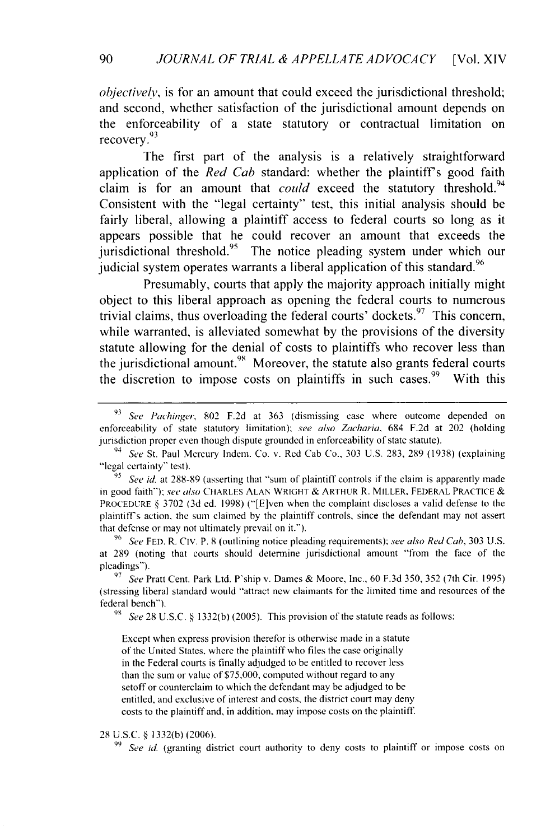*objectively*, is for an amount that could exceed the jurisdictional threshold; and second, whether satisfaction of the jurisdictional amount depends on the enforceability of a state statutory or contractual limitation on **93** recovery.

The first part of the analysis is a relatively straightforward application of the *Red Cab* standard: whether the plaintiff's good faith claim is for an amount that *could* exceed the statutory threshold.<sup>94</sup> Consistent with the "legal certainty" test, this initial analysis should be fairly liberal, allowing a plaintiff access to federal courts so long as it appears possible that he could recover an amount that exceeds the  $j$ urisdictional threshold.<sup>95</sup> The notice pleading system under which our judicial system operates warrants a liberal application of this standard.<sup>96</sup>

Presumably, courts that apply the majority approach initially might object to this liberal approach as opening the federal courts to numerous trivial claims, thus overloading the federal courts' dockets.  $97$  This concern, while warranted, is alleviated somewhat by the provisions of the diversity statute allowing for the denial of costs to plaintiffs who recover less than the jurisdictional amount.<sup>98</sup> Moreover, the statute also grants federal courts the discretion to impose costs on plaintiffs in such cases.<sup>99</sup> With this

**98** *See* 28 U.S.C. § 1332(b) (2005). This provision of the statute reads as follows:

Except when express provision therefor is otherwise made in a statute of the United States, where the plaintiff who files the case originally in the Federal courts is finally adjudged to be entitled to recover less than the sum or value of \$75,000, computed without regard to any setoff or counterclaim to which the defendant may be adjudged to be entitled, and exclusive of interest and costs, the district court may deny costs to the plaintiffand, in addition, may impose costs on the plaintiff.

#### 28 U.S.C. § 1332(b) (2006).

**99** *See id.* (granting district court authority to deny costs to plaintiff or impose costs on

**<sup>93</sup>***See Pachinger,* 802 F.2d at 363 (dismissing case where outcome depended on enforceability of state statutory limitation); *see also Zacharia,* 684 F.2d at 202 (holding jurisdiction proper even though dispute grounded in enforceability of state statute).

<sup>94</sup> *See* St. Paul Mercury Inden. Co. v. Red Cab Co., 303 U.S. 283, 289 (1938) (explaining "legal certainty" test).

<sup>&</sup>lt;sup>95</sup>*See id.* at 288-89 (asserting that "sum of plaintiff controls if the claim is apparently made in good faith"): *see* also CHARLES ALAN WRIGHT & ARTHUR R. MILLER, FEDERAL PRACTICE & PROCEDURE § 3702 (3d ed. 1998) ("[E]ven when the complaint discloses a valid defense to the plaintiffs action, the sum claimed by the plaintiff controls, since the defendant may not assert that defense or may not ultimately prevail on it.").

**<sup>96</sup>***See* FED. R. CIv. P. 8 (outlining notice pleading requirements): *see also Red Cab,* 303 U.S. at 289 (noting that courts should determine jurisdictional amount "from the face of the pleadings").

**<sup>97</sup>** *See* Pratt Cent. Park Ltd. P'ship v. Dames & Moore, Inc., 60 F.3d 350, 352 (7th Cir. 1995) (stressing liberal standard would "attract new claimants for the limited time and resources of the federal bench").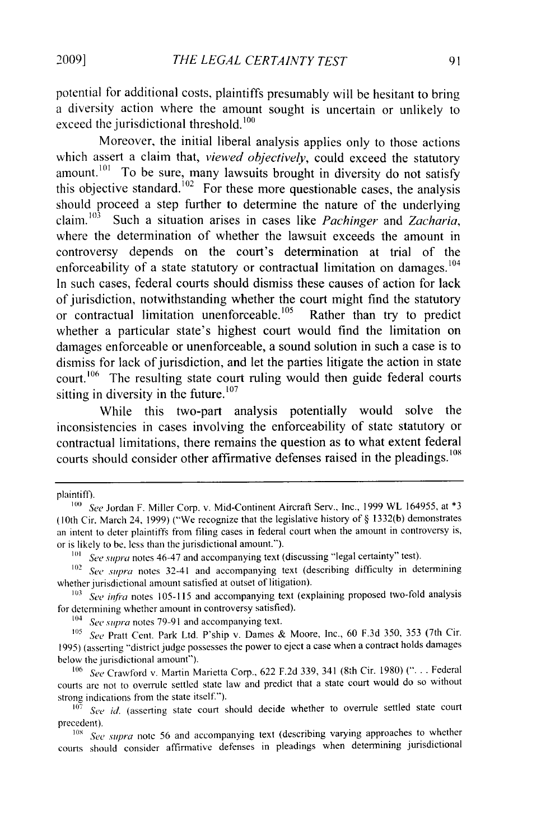potential for additional costs, plaintiffs presumably will be hesitant to bring a diversity action where the amount sought is uncertain or unlikely to exceed the jurisdictional threshold.  $100$ 

Moreover, the initial liberal analysis applies only to those actions which assert a claim that, *viewed objectively,* could exceed the statutory amount.<sup>101</sup> To be sure, many lawsuits brought in diversity do not satisfy this objective standard.  $102$  For these more questionable cases, the analysis should proceed a step further to determine the nature of the underlying claim. **<sup>1</sup> 0 <sup>3</sup>**Such a situation arises in cases like *Pachinger* and *Zacharia,* where the determination of whether the lawsuit exceeds the amount in controversy depends on the court's determination at trial of the enforceability of a state statutory or contractual limitation on damages.<sup>104</sup> In such cases, federal courts should dismiss these causes of action for lack of jurisdiction, notwithstanding whether the court might find the statutory<br>or contractual limitation unenforceable.<sup>105</sup> Rather than try to predict or contractual limitation unenforceable.<sup>105</sup> whether a particular state's highest court would find the limitation on damages enforceable or unenforceable, a sound solution in such a case is to dismiss for lack of jurisdiction, and let the parties litigate the action in state court.<sup>106</sup> The resulting state court ruling would then guide federal courts sitting in diversity in the future.<sup>107</sup>

While this two-part analysis potentially would solve the inconsistencies in cases involving the enforceability of state statutory or contractual limitations, there remains the question as to what extent federal courts should consider other affirmative defenses raised in the pleadings.<sup>108</sup>

plaintiff).

<sup>104</sup>*See* supra notes 79-91 and accompanying text.

<sup>105</sup> See Pratt Cent. Park Ltd. P'ship v. Dames & Moore, Inc., 60 F.3d 350, 353 (7th Cir. 1995) (asserting "district judge possesses the power to eject a case when a contract holds damages below the jurisdictional amount").

106 See Crawford v. Martin Marietta Corp., 622 F.2d 339, 341 (8th Cir. 1980) (". . . Federal courts arc not to overrule settled state law and predict that a state court would do so without strong indications from the state itself.").

<sup>107</sup> See id. (asserting state court should decide whether to overrule settled state court precedent).

*108 See supra* note 56 and accompanying text (describing varying approaches to whether courts should consider affirmative defenses in pleadings when determining jurisdictional

<sup>&</sup>lt;sup>100</sup> See Jordan F. Miller Corp. v. Mid-Continent Aircraft Serv., Inc., 1999 WL 164955, at \*3 (lOth Cir. March 24, 1999) ("We recognize that the legislative history of § 1332(b) demonstrates an intent to deter plaintiffs from filing cases in federal court when the amount in controversy is, or is likely to be. less than the jurisdictional amount.").

**<sup>101</sup>** *See supra* notes 46-47 and accompanying text (discussing "legal certainty" test).

<sup>102</sup>*See supra* notes 32-41 and accompanying text (describing difficulty in determining whether jurisdictional amount satisfied at outset of litigation).

<sup>&</sup>lt;sup>103</sup> See infra notes 105-115 and accompanying text (explaining proposed two-fold analysis for detennining whether amount in controversy satisfied).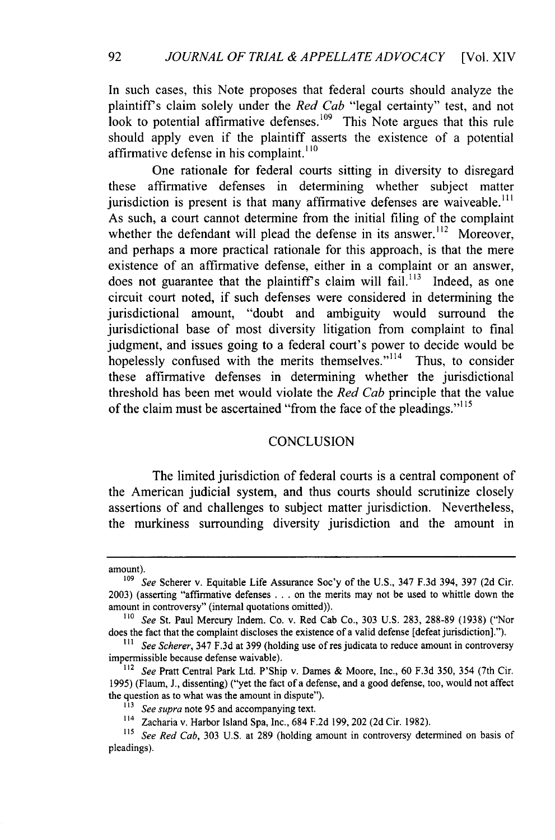In such cases, this Note proposes that federal courts should analyze the plaintiffs claim solely under the *Red Cab* "legal certainty" test, and not look to potential affirmative defenses.<sup>109</sup> This Note argues that this rule should apply even if the plaintiff asserts the existence of a potential affirmative defense in his complaint.<sup>110</sup>

One rationale for federal courts sitting in diversity to disregard these affirmative defenses in determining whether subject matter jurisdiction is present is that many affirmative defenses are waiveable.<sup>111</sup> As such, a court cannot determine from the initial filing of the complaint whether the defendant will plead the defense in its answer.<sup> $112$ </sup> Moreover, and perhaps a more practical rationale for this approach, is that the mere existence of an affirmative defense, either in a complaint or an answer, does not guarantee that the plaintiff's claim will fail.<sup>113</sup> Indeed, as one circuit court noted, if such defenses were considered in determining the jurisdictional amount, "doubt and ambiguity would surround the jurisdictional base of most diversity litigation from complaint to final judgment, and issues going to a federal court's power to decide would be hopelessly confused with the merits themselves."<sup>114</sup> Thus, to consider these affirmative defenses in determining whether the jurisdictional threshold has been met would violate the *Red Cab* principle that the value of the claim must be ascertained "from the face of the pleadings." $115$ 

#### **CONCLUSION**

The limited jurisdiction of federal courts is a central component of the American judicial system, and thus courts should scrutinize closely assertions of and challenges to subject matter jurisdiction. Nevertheless, the murkiness surrounding diversity jurisdiction and the amount in

amount).

<sup>&</sup>lt;sup>109</sup> See Scherer v. Equitable Life Assurance Soc'y of the U.S., 347 F.3d 394, 397 (2d Cir. 2003) (asserting "affirmative defenses **...** on the merits may not be used to whittle down the amount in controversy" (internal quotations omitted)).

*<sup>11</sup>o See* St. Paul Mercury Indem. Co. v. Red Cab Co., 303 U.S. 283, 288-89 (1938) ("Nor does the fact that the complaint discloses the existence of a valid defense [defeat jurisdiction].").

*<sup>111</sup> See Scherer,* 347 F.3d at 399 (holding use of res judicata to reduce amount in controversy impermissible because defense waivable).

<sup>112</sup>*See* Pratt Central Park Ltd. P'Ship v. Dames & Moore, Inc., 60 F.3d 350, 354 (7th Cir. 1995) (Flaum, J., dissenting) ("yet the fact of a defense, and a good defense, too, would not affect the question as to what was the amount in dispute").

*<sup>13</sup>See supra* note 95 and accompanying text.

<sup>114</sup> Zacharia v. Harbor Island Spa, Inc., 684 F.2d 199, 202 (2d Cir. 1982).

<sup>&</sup>lt;sup>115</sup> See Red Cab, 303 U.S. at 289 (holding amount in controversy determined on basis of pleadings).